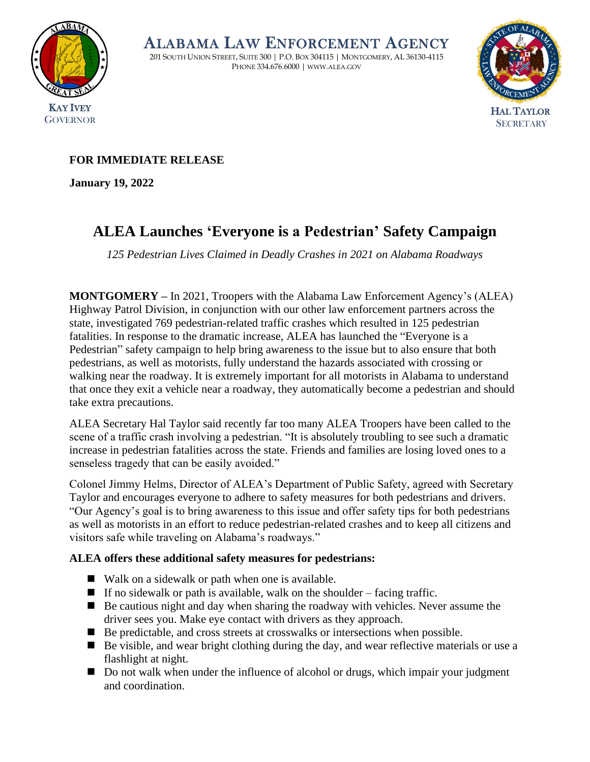

ALABAMA LAW ENFORCEMENT AGENCY

201 SOUTH UNION STREET, SUITE 300 | P.O. BOX 304115 | MONTGOMERY, AL 36130-4115 PHONE 334.676.6000 | WWW.ALEA.GOV



## **FOR IMMEDIATE RELEASE**

**January 19, 2022** 

# **ALEA Launches 'Everyone is a Pedestrian' Safety Campaign**

*125 Pedestrian Lives Claimed in Deadly Crashes in 2021 on Alabama Roadways* 

**MONTGOMERY –** In 2021, Troopers with the Alabama Law Enforcement Agency's (ALEA) Highway Patrol Division, in conjunction with our other law enforcement partners across the state, investigated 769 pedestrian-related traffic crashes which resulted in 125 pedestrian fatalities. In response to the dramatic increase, ALEA has launched the "Everyone is a Pedestrian" safety campaign to help bring awareness to the issue but to also ensure that both pedestrians, as well as motorists, fully understand the hazards associated with crossing or walking near the roadway. It is extremely important for all motorists in Alabama to understand that once they exit a vehicle near a roadway, they automatically become a pedestrian and should take extra precautions.

ALEA Secretary Hal Taylor said recently far too many ALEA Troopers have been called to the scene of a traffic crash involving a pedestrian. "It is absolutely troubling to see such a dramatic increase in pedestrian fatalities across the state. Friends and families are losing loved ones to a senseless tragedy that can be easily avoided."

Colonel Jimmy Helms, Director of ALEA's Department of Public Safety, agreed with Secretary Taylor and encourages everyone to adhere to safety measures for both pedestrians and drivers. "Our Agency's goal is to bring awareness to this issue and offer safety tips for both pedestrians as well as motorists in an effort to reduce pedestrian-related crashes and to keep all citizens and visitors safe while traveling on Alabama's roadways."

### **ALEA offers these additional safety measures for pedestrians:**

- Walk on a sidewalk or path when one is available.
- $\blacksquare$  If no sidewalk or path is available, walk on the shoulder facing traffic.
- Be cautious night and day when sharing the roadway with vehicles. Never assume the driver sees you. Make eye contact with drivers as they approach.
- Be predictable, and cross streets at crosswalks or intersections when possible.
- Be visible, and wear bright clothing during the day, and wear reflective materials or use a flashlight at night.
- Do not walk when under the influence of alcohol or drugs, which impair your judgment and coordination.